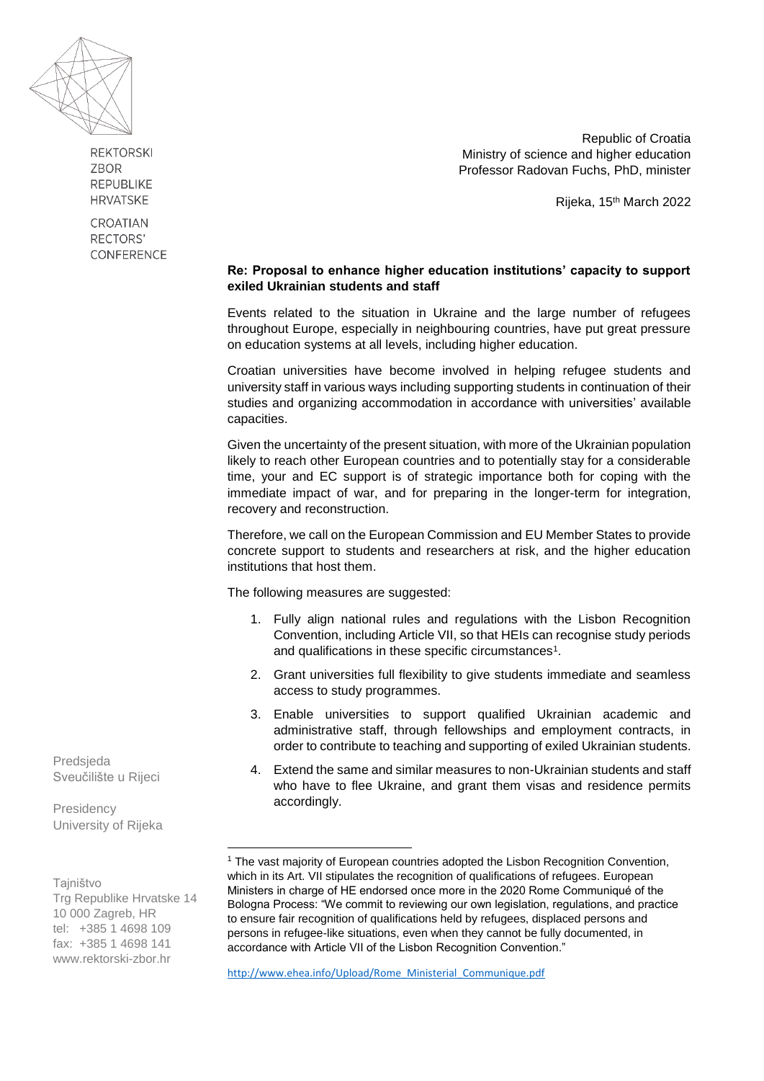

**REKTORSKI** ZROR **REPUBLIKE HRVATSKF** 

CROATIAN RECTORS' CONFERENCE

Republic of Croatia Ministry of science and higher education Professor Radovan Fuchs, PhD, minister

Rijeka, 15th March 2022

## **Re: Proposal to enhance higher education institutions' capacity to support exiled Ukrainian students and staff**

Events related to the situation in Ukraine and the large number of refugees throughout Europe, especially in neighbouring countries, have put great pressure on education systems at all levels, including higher education.

Croatian universities have become involved in helping refugee students and university staff in various ways including supporting students in continuation of their studies and organizing accommodation in accordance with universities' available capacities.

Given the uncertainty of the present situation, with more of the Ukrainian population likely to reach other European countries and to potentially stay for a considerable time, your and EC support is of strategic importance both for coping with the immediate impact of war, and for preparing in the longer-term for integration, recovery and reconstruction.

Therefore, we call on the European Commission and EU Member States to provide concrete support to students and researchers at risk, and the higher education institutions that host them.

The following measures are suggested:

- 1. Fully align national rules and regulations with the Lisbon Recognition Convention, including Article VII, so that HEIs can recognise study periods and qualifications in these specific circumstances<sup>1</sup>.
- 2. Grant universities full flexibility to give students immediate and seamless access to study programmes.
- 3. Enable universities to support qualified Ukrainian academic and administrative staff, through fellowships and employment contracts, in order to contribute to teaching and supporting of exiled Ukrainian students.
- 4. Extend the same and similar measures to non-Ukrainian students and staff who have to flee Ukraine, and grant them visas and residence permits accordingly.

[http://www.ehea.info/Upload/Rome\\_Ministerial\\_Communique.pdf](http://www.ehea.info/Upload/Rome_Ministerial_Communique.pdf)

Predsjeda Sveučilište u Rijeci

**Presidency** University of Rijeka

Tajništvo Trg Republike Hrvatske 14 10 000 Zagreb, HR tel: +385 1 4698 109 fax: +385 1 4698 141 www.rektorski-zbor.hr

 $\overline{\phantom{a}}$ 

<sup>&</sup>lt;sup>1</sup> The vast majority of European countries adopted the Lisbon Recognition Convention, which in its Art. VII stipulates the recognition of qualifications of refugees. European Ministers in charge of HE endorsed once more in the 2020 Rome Communiqué of the Bologna Process: "We commit to reviewing our own legislation, regulations, and practice to ensure fair recognition of qualifications held by refugees, displaced persons and persons in refugee-like situations, even when they cannot be fully documented, in accordance with Article VII of the Lisbon Recognition Convention."